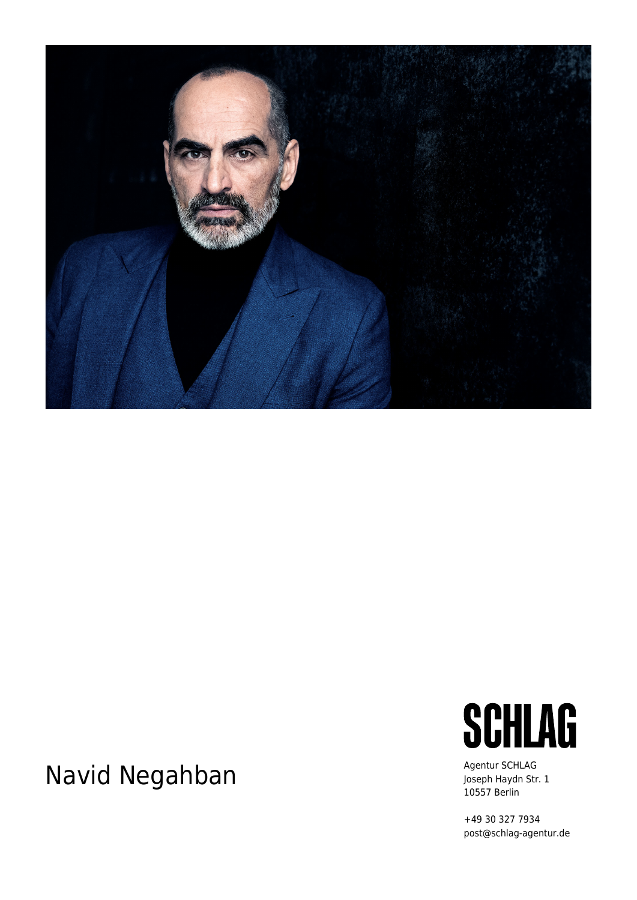

## Navid Negahban Agentur SCHLAG



Joseph Haydn Str. 1 10557 Berlin

+49 30 327 7934 post@schlag-agentur.de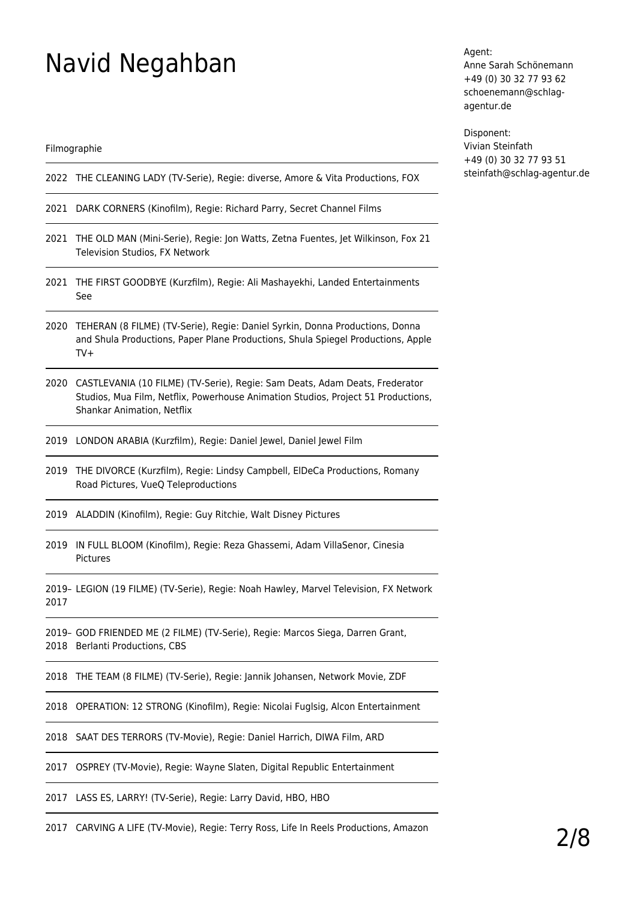## Navid Negahban

Filmographie

- 2022 THE CLEANING LADY (TV-Serie), Regie: diverse, Amore & Vita Productions, FOX
- 2021 DARK CORNERS (Kinofilm), Regie: Richard Parry, Secret Channel Films
- 2021 THE OLD MAN (Mini-Serie), Regie: Jon Watts, Zetna Fuentes, Jet Wilkinson, Fox 21 Television Studios, FX Network
- 2021 THE FIRST GOODBYE (Kurzfilm), Regie: Ali Mashayekhi, Landed Entertainments See
- 2020 TEHERAN (8 FILME) (TV-Serie), Regie: Daniel Syrkin, Donna Productions, Donna and Shula Productions, Paper Plane Productions, Shula Spiegel Productions, Apple TV+
- 2020 CASTLEVANIA (10 FILME) (TV-Serie), Regie: Sam Deats, Adam Deats, Frederator Studios, Mua Film, Netflix, Powerhouse Animation Studios, Project 51 Productions, Shankar Animation, Netflix
- 2019 LONDON ARABIA (Kurzfilm), Regie: Daniel Jewel, Daniel Jewel Film
- 2019 THE DIVORCE (Kurzfilm), Regie: Lindsy Campbell, ElDeCa Productions, Romany Road Pictures, VueQ Teleproductions
- 2019 ALADDIN (Kinofilm), Regie: Guy Ritchie, Walt Disney Pictures
- 2019 IN FULL BLOOM (Kinofilm), Regie: Reza Ghassemi, Adam VillaSenor, Cinesia Pictures

2019– LEGION (19 FILME) (TV-Serie), Regie: Noah Hawley, Marvel Television, FX Network 2017

2019– GOD FRIENDED ME (2 FILME) (TV-Serie), Regie: Marcos Siega, Darren Grant, 2018 Berlanti Productions, CBS

2018 THE TEAM (8 FILME) (TV-Serie), Regie: Jannik Johansen, Network Movie, ZDF

2018 OPERATION: 12 STRONG (Kinofilm), Regie: Nicolai Fuglsig, Alcon Entertainment

2018 SAAT DES TERRORS (TV-Movie), Regie: Daniel Harrich, DIWA Film, ARD

2017 OSPREY (TV-Movie), Regie: Wayne Slaten, Digital Republic Entertainment

2017 LASS ES, LARRY! (TV-Serie), Regie: Larry David, HBO, HBO

2017 CARVING A LIFE (TV-Movie), Regie: Terry Ross, Life In Reels Productions, Amazon

Agent: Anne Sarah Schönemann +49 (0) 30 32 77 93 62 schoenemann@schlagagentur.de

Disponent: Vivian Steinfath +49 (0) 30 32 77 93 51 steinfath@schlag-agentur.de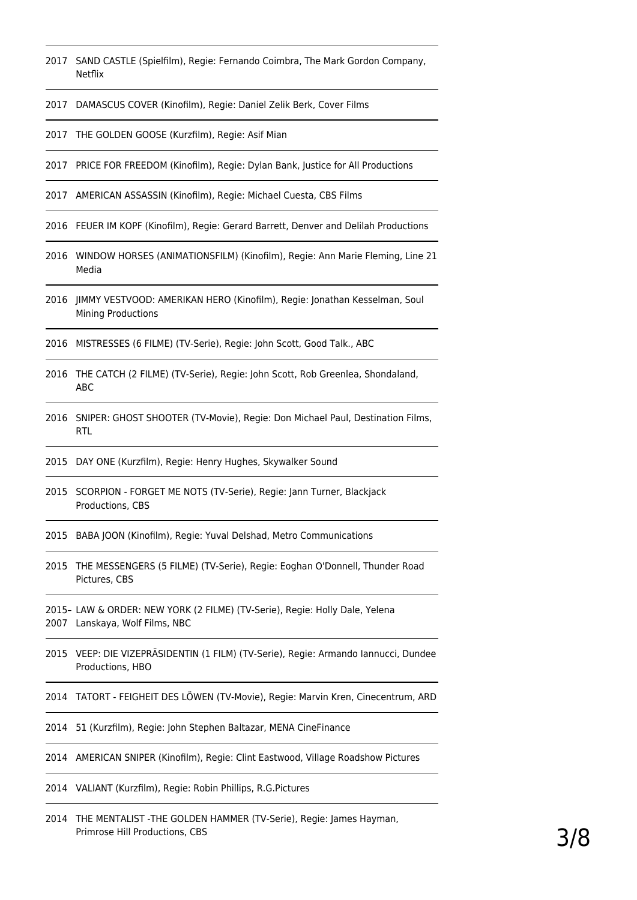- SAND CASTLE (Spielfilm), Regie: Fernando Coimbra, The Mark Gordon Company, Netflix
- DAMASCUS COVER (Kinofilm), Regie: Daniel Zelik Berk, Cover Films
- THE GOLDEN GOOSE (Kurzfilm), Regie: Asif Mian
- PRICE FOR FREEDOM (Kinofilm), Regie: Dylan Bank, Justice for All Productions
- AMERICAN ASSASSIN (Kinofilm), Regie: Michael Cuesta, CBS Films
- FEUER IM KOPF (Kinofilm), Regie: Gerard Barrett, Denver and Delilah Productions
- WINDOW HORSES (ANIMATIONSFILM) (Kinofilm), Regie: Ann Marie Fleming, Line 21 Media
- JIMMY VESTVOOD: AMERIKAN HERO (Kinofilm), Regie: Jonathan Kesselman, Soul Mining Productions
- MISTRESSES (6 FILME) (TV-Serie), Regie: John Scott, Good Talk., ABC
- THE CATCH (2 FILME) (TV-Serie), Regie: John Scott, Rob Greenlea, Shondaland, ABC
- SNIPER: GHOST SHOOTER (TV-Movie), Regie: Don Michael Paul, Destination Films, **RTL**
- DAY ONE (Kurzfilm), Regie: Henry Hughes, Skywalker Sound
- SCORPION FORGET ME NOTS (TV-Serie), Regie: Jann Turner, Blackjack Productions, CBS
- BABA JOON (Kinofilm), Regie: Yuval Delshad, Metro Communications
- THE MESSENGERS (5 FILME) (TV-Serie), Regie: Eoghan O'Donnell, Thunder Road Pictures, CBS
- 2015– LAW & ORDER: NEW YORK (2 FILME) (TV-Serie), Regie: Holly Dale, Yelena Lanskaya, Wolf Films, NBC
- VEEP: DIE VIZEPRÄSIDENTIN (1 FILM) (TV-Serie), Regie: Armando Iannucci, Dundee Productions, HBO
- TATORT FEIGHEIT DES LÖWEN (TV-Movie), Regie: Marvin Kren, Cinecentrum, ARD
- 51 (Kurzfilm), Regie: John Stephen Baltazar, MENA CineFinance
- AMERICAN SNIPER (Kinofilm), Regie: Clint Eastwood, Village Roadshow Pictures
- VALIANT (Kurzfilm), Regie: Robin Phillips, R.G.Pictures
- THE MENTALIST -THE GOLDEN HAMMER (TV-Serie), Regie: James Hayman, Primrose Hill Productions, CBS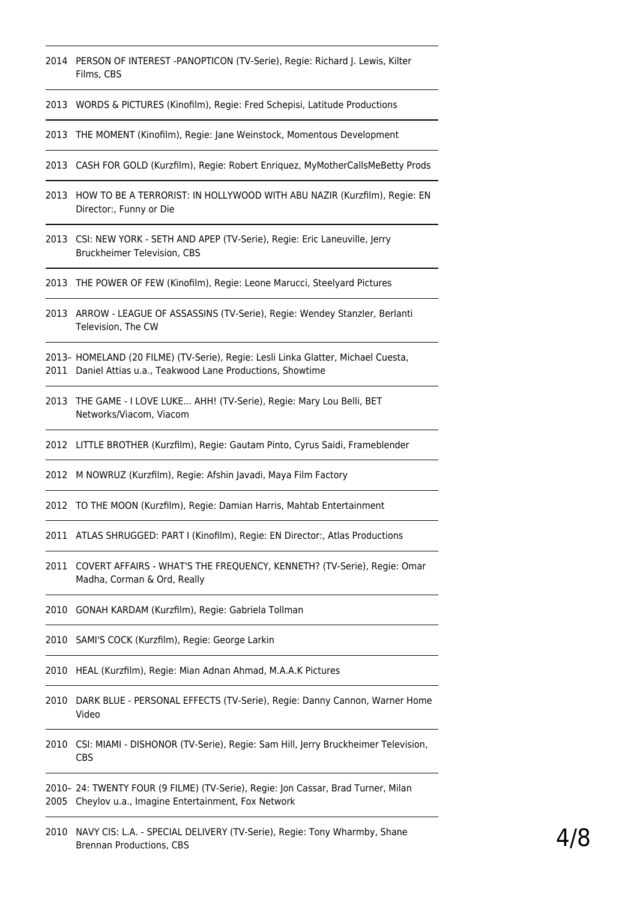- PERSON OF INTEREST -PANOPTICON (TV-Serie), Regie: Richard J. Lewis, Kilter Films, CBS
- WORDS & PICTURES (Kinofilm), Regie: Fred Schepisi, Latitude Productions
- THE MOMENT (Kinofilm), Regie: Jane Weinstock, Momentous Development
- CASH FOR GOLD (Kurzfilm), Regie: Robert Enriquez, MyMotherCallsMeBetty Prods
- HOW TO BE A TERRORIST: IN HOLLYWOOD WITH ABU NAZIR (Kurzfilm), Regie: EN Director:, Funny or Die
- CSI: NEW YORK SETH AND APEP (TV-Serie), Regie: Eric Laneuville, Jerry Bruckheimer Television, CBS
- THE POWER OF FEW (Kinofilm), Regie: Leone Marucci, Steelyard Pictures
- ARROW LEAGUE OF ASSASSINS (TV-Serie), Regie: Wendey Stanzler, Berlanti Television, The CW
- 2013– HOMELAND (20 FILME) (TV-Serie), Regie: Lesli Linka Glatter, Michael Cuesta, Daniel Attias u.a., Teakwood Lane Productions, Showtime
- THE GAME I LOVE LUKE... AHH! (TV-Serie), Regie: Mary Lou Belli, BET Networks/Viacom, Viacom
- LITTLE BROTHER (Kurzfilm), Regie: Gautam Pinto, Cyrus Saidi, Frameblender
- M NOWRUZ (Kurzfilm), Regie: Afshin Javadi, Maya Film Factory
- TO THE MOON (Kurzfilm), Regie: Damian Harris, Mahtab Entertainment
- ATLAS SHRUGGED: PART I (Kinofilm), Regie: EN Director:, Atlas Productions
- COVERT AFFAIRS WHAT'S THE FREQUENCY, KENNETH? (TV-Serie), Regie: Omar Madha, Corman & Ord, Really
- GONAH KARDAM (Kurzfilm), Regie: Gabriela Tollman
- SAMI'S COCK (Kurzfilm), Regie: George Larkin
- HEAL (Kurzfilm), Regie: Mian Adnan Ahmad, M.A.A.K Pictures
- DARK BLUE PERSONAL EFFECTS (TV-Serie), Regie: Danny Cannon, Warner Home Video
- CSI: MIAMI DISHONOR (TV-Serie), Regie: Sam Hill, Jerry Bruckheimer Television, CBS
- 2010– 24: TWENTY FOUR (9 FILME) (TV-Serie), Regie: Jon Cassar, Brad Turner, Milan Cheylov u.a., Imagine Entertainment, Fox Network
- NAVY CIS: L.A. SPECIAL DELIVERY (TV-Serie), Regie: Tony Wharmby, Shane Brennan Productions, CBS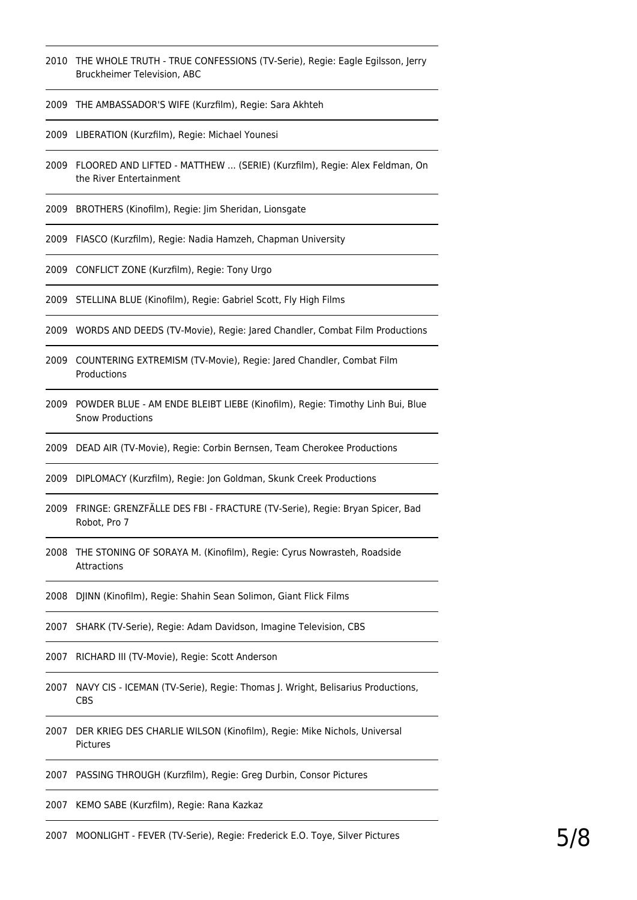- THE WHOLE TRUTH TRUE CONFESSIONS (TV-Serie), Regie: Eagle Egilsson, Jerry Bruckheimer Television, ABC
- THE AMBASSADOR'S WIFE (Kurzfilm), Regie: Sara Akhteh
- LIBERATION (Kurzfilm), Regie: Michael Younesi
- FLOORED AND LIFTED MATTHEW ... (SERIE) (Kurzfilm), Regie: Alex Feldman, On the River Entertainment
- BROTHERS (Kinofilm), Regie: Jim Sheridan, Lionsgate
- FIASCO (Kurzfilm), Regie: Nadia Hamzeh, Chapman University
- CONFLICT ZONE (Kurzfilm), Regie: Tony Urgo
- STELLINA BLUE (Kinofilm), Regie: Gabriel Scott, Fly High Films
- WORDS AND DEEDS (TV-Movie), Regie: Jared Chandler, Combat Film Productions
- COUNTERING EXTREMISM (TV-Movie), Regie: Jared Chandler, Combat Film Productions
- POWDER BLUE AM ENDE BLEIBT LIEBE (Kinofilm), Regie: Timothy Linh Bui, Blue Snow Productions
- DEAD AIR (TV-Movie), Regie: Corbin Bernsen, Team Cherokee Productions
- DIPLOMACY (Kurzfilm), Regie: Jon Goldman, Skunk Creek Productions
- FRINGE: GRENZFÄLLE DES FBI FRACTURE (TV-Serie), Regie: Bryan Spicer, Bad Robot, Pro 7
- THE STONING OF SORAYA M. (Kinofilm), Regie: Cyrus Nowrasteh, Roadside Attractions
- DJINN (Kinofilm), Regie: Shahin Sean Solimon, Giant Flick Films
- SHARK (TV-Serie), Regie: Adam Davidson, Imagine Television, CBS
- RICHARD III (TV-Movie), Regie: Scott Anderson
- NAVY CIS ICEMAN (TV-Serie), Regie: Thomas J. Wright, Belisarius Productions, CBS
- DER KRIEG DES CHARLIE WILSON (Kinofilm), Regie: Mike Nichols, Universal Pictures
- PASSING THROUGH (Kurzfilm), Regie: Greg Durbin, Consor Pictures
- KEMO SABE (Kurzfilm), Regie: Rana Kazkaz
- MOONLIGHT FEVER (TV-Serie), Regie: Frederick E.O. Toye, Silver Pictures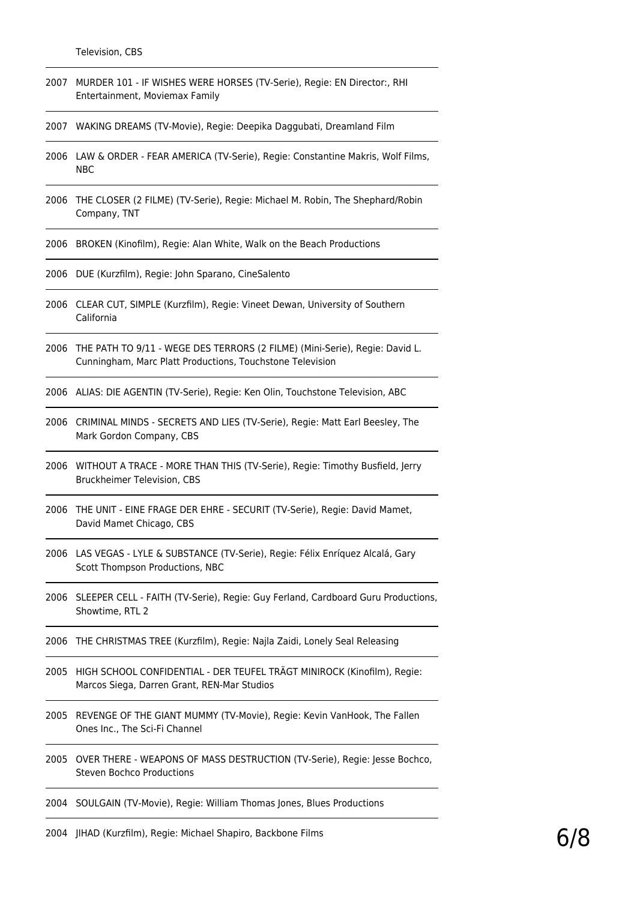- 2007 MURDER 101 IF WISHES WERE HORSES (TV-Serie), Regie: EN Director:, RHI Entertainment, Moviemax Family
- 2007 WAKING DREAMS (TV-Movie), Regie: Deepika Daggubati, Dreamland Film
- 2006 LAW & ORDER FEAR AMERICA (TV-Serie), Regie: Constantine Makris, Wolf Films, NBC
- 2006 THE CLOSER (2 FILME) (TV-Serie), Regie: Michael M. Robin, The Shephard/Robin Company, TNT
- 2006 BROKEN (Kinofilm), Regie: Alan White, Walk on the Beach Productions
- 2006 DUE (Kurzfilm), Regie: John Sparano, CineSalento
- 2006 CLEAR CUT, SIMPLE (Kurzfilm), Regie: Vineet Dewan, University of Southern California
- 2006 THE PATH TO 9/11 WEGE DES TERRORS (2 FILME) (Mini-Serie), Regie: David L. Cunningham, Marc Platt Productions, Touchstone Television
- 2006 ALIAS: DIE AGENTIN (TV-Serie), Regie: Ken Olin, Touchstone Television, ABC
- 2006 CRIMINAL MINDS SECRETS AND LIES (TV-Serie), Regie: Matt Earl Beesley, The Mark Gordon Company, CBS
- 2006 WITHOUT A TRACE MORE THAN THIS (TV-Serie), Regie: Timothy Busfield, Jerry Bruckheimer Television, CBS
- 2006 THE UNIT EINE FRAGE DER EHRE SECURIT (TV-Serie), Regie: David Mamet, David Mamet Chicago, CBS
- 2006 LAS VEGAS LYLE & SUBSTANCE (TV-Serie), Regie: Félix Enríquez Alcalá, Gary Scott Thompson Productions, NBC
- 2006 SLEEPER CELL FAITH (TV-Serie), Regie: Guy Ferland, Cardboard Guru Productions, Showtime, RTL 2
- 2006 THE CHRISTMAS TREE (Kurzfilm), Regie: Najla Zaidi, Lonely Seal Releasing
- 2005 HIGH SCHOOL CONFIDENTIAL DER TEUFEL TRÄGT MINIROCK (Kinofilm), Regie: Marcos Siega, Darren Grant, REN-Mar Studios
- 2005 REVENGE OF THE GIANT MUMMY (TV-Movie), Regie: Kevin VanHook, The Fallen Ones Inc., The Sci-Fi Channel
- 2005 OVER THERE WEAPONS OF MASS DESTRUCTION (TV-Serie), Regie: Jesse Bochco, Steven Bochco Productions
- 2004 SOULGAIN (TV-Movie), Regie: William Thomas Jones, Blues Productions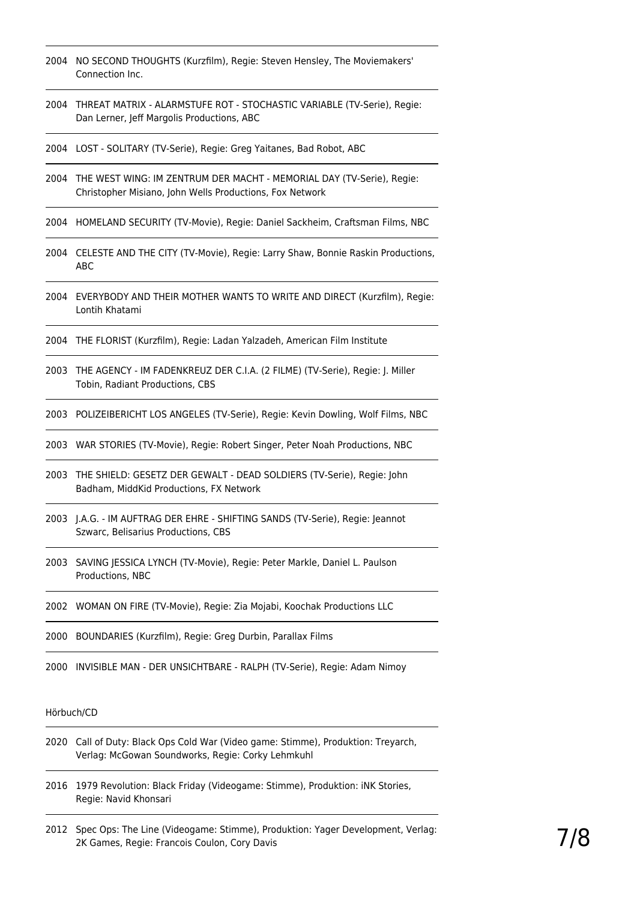- 2004 NO SECOND THOUGHTS (Kurzfilm), Regie: Steven Hensley, The Moviemakers' Connection Inc.
- 2004 THREAT MATRIX ALARMSTUFE ROT STOCHASTIC VARIABLE (TV-Serie), Regie: Dan Lerner, Jeff Margolis Productions, ABC
- 2004 LOST SOLITARY (TV-Serie), Regie: Greg Yaitanes, Bad Robot, ABC
- 2004 THE WEST WING: IM ZENTRUM DER MACHT MEMORIAL DAY (TV-Serie), Regie: Christopher Misiano, John Wells Productions, Fox Network
- 2004 HOMELAND SECURITY (TV-Movie), Regie: Daniel Sackheim, Craftsman Films, NBC
- 2004 CELESTE AND THE CITY (TV-Movie), Regie: Larry Shaw, Bonnie Raskin Productions, ABC
- 2004 EVERYBODY AND THEIR MOTHER WANTS TO WRITE AND DIRECT (Kurzfilm), Regie: Lontih Khatami
- 2004 THE FLORIST (Kurzfilm), Regie: Ladan Yalzadeh, American Film Institute
- 2003 THE AGENCY IM FADENKREUZ DER C.I.A. (2 FILME) (TV-Serie), Regie: J. Miller Tobin, Radiant Productions, CBS
- 2003 POLIZEIBERICHT LOS ANGELES (TV-Serie), Regie: Kevin Dowling, Wolf Films, NBC
- 2003 WAR STORIES (TV-Movie), Regie: Robert Singer, Peter Noah Productions, NBC
- 2003 THE SHIELD: GESETZ DER GEWALT DEAD SOLDIERS (TV-Serie), Regie: John Badham, MiddKid Productions, FX Network
- 2003 J.A.G. IM AUFTRAG DER EHRE SHIFTING SANDS (TV-Serie), Regie: Jeannot Szwarc, Belisarius Productions, CBS
- 2003 SAVING JESSICA LYNCH (TV-Movie), Regie: Peter Markle, Daniel L. Paulson Productions, NBC
- 2002 WOMAN ON FIRE (TV-Movie), Regie: Zia Mojabi, Koochak Productions LLC

2000 BOUNDARIES (Kurzfilm), Regie: Greg Durbin, Parallax Films

2000 INVISIBLE MAN - DER UNSICHTBARE - RALPH (TV-Serie), Regie: Adam Nimoy

## Hörbuch/CD

- 2020 Call of Duty: Black Ops Cold War (Video game: Stimme), Produktion: Treyarch, Verlag: McGowan Soundworks, Regie: Corky Lehmkuhl
- 2016 1979 Revolution: Black Friday (Videogame: Stimme), Produktion: iNK Stories, Regie: Navid Khonsari
- 2012 Spec Ops: The Line (Videogame: Stimme), Produktion: Yager Development, Verlag: 2K Games, Regie: Francois Coulon, Cory Davis